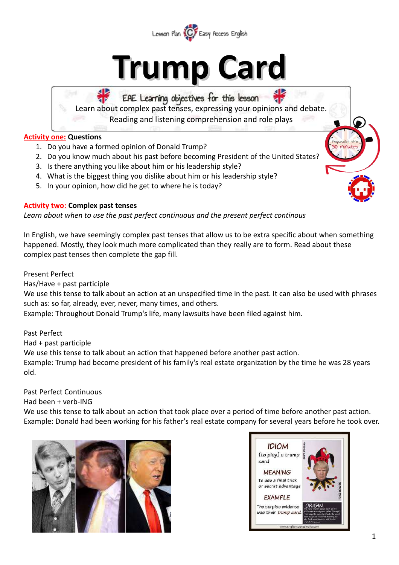

# **Trump Card**

# EAE Learning objectives for this lesson

Learn about complex past tenses, expressing your opinions and debate. Reading and listening comprehension and role plays

 $\overline{a}$ 

**Activity one: Questions**

- 1. Do you have a formed opinion of Donald Trump?
- 2. Do you know much about his past before becoming President of the United States?
- 3. Is there anything you like about him or his leadership style?
- 4. What is the biggest thing you dislike about him or his leadership style?
- 5. In your opinion, how did he get to where he is today?



*Learn about when to use the past perfect continuous and the present perfect continous*

In English, we have seemingly complex past tenses that allow us to be extra specific about when something happened. Mostly, they look much more complicated than they really are to form. Read about these complex past tenses then complete the gap fill.

Present Perfect

Has/Have + past participle

We use this tense to talk about an action at an unspecified time in the past. It can also be used with phrases such as: so far, already, ever, never, many times, and others.

Example: Throughout Donald Trump's life, many lawsuits have been filed against him.

Past Perfect

Had + past participle

We use this tense to talk about an action that happened before another past action.

Example: Trump had become president of his family's real estate organization by the time he was 28 years old.

Past Perfect Continuous

Had been + verb-ING

We use this tense to talk about an action that took place over a period of time before another past action. Example: Donald had been working for his father's real estate company for several years before he took over.



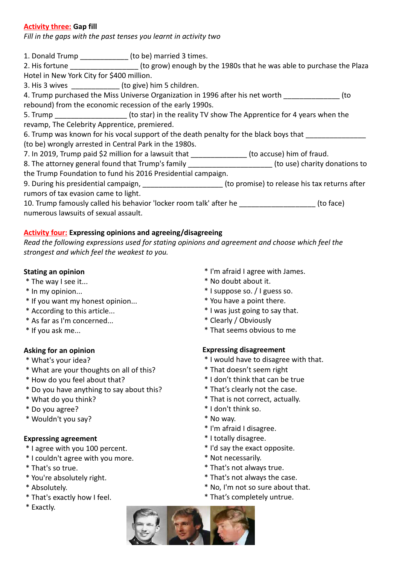# **Activity three: Gap fill**

*Fill in the gaps with the past tenses you learnt in activity two*

1. Donald Trump \_\_\_\_\_\_\_\_\_\_\_\_ (to be) married 3 times. 2. His fortune **Example 2. His fortune** the Plaza (to grow) enough by the 1980s that he was able to purchase the Plaza Hotel in New York City for \$400 million. 3. His 3 wives  $($ to give) him 5 children. 4. Trump purchased the Miss Universe Organization in 1996 after his net worth  $(to$ rebound) from the economic recession of the early 1990s. 5. Trump **Example 2. Trump** (to star) in the reality TV show The Apprentice for 4 years when the revamp, The Celebrity Apprentice, premiered. 6. Trump was known for his vocal support of the death penalty for the black boys that (to be) wrongly arrested in Central Park in the 1980s. 7. In 2019, Trump paid \$2 million for a lawsuit that \_\_\_\_\_\_\_\_\_\_\_\_\_\_\_(to accuse) him of fraud. 8. The attorney general found that Trump's family entity and the state of the state of the state of the state of the state of the state of the state of the state of the state of the state of the state of the state of the s the Trump Foundation to fund his 2016 Presidential campaign. 9. During his presidential campaign, \_\_\_\_\_\_\_\_\_\_\_\_\_\_\_\_\_\_\_\_\_\_(to promise) to release his tax returns after rumors of tax evasion came to light.

10. Trump famously called his behavior 'locker room talk' after he \_\_\_\_\_\_\_\_\_\_\_\_\_\_\_\_\_\_\_(to face) numerous lawsuits of sexual assault.

# **Activity four: Expressing opinions and agreeing/disagreeing**

*Read the following expressions used for stating opinions and agreement and choose which feel the strongest and which feel the weakest to you.*

## **Stating an opinion**

- \* The way I see it...
- \* In my opinion...
- \* If you want my honest opinion...
- \* According to this article...
- \* As far as I'm concerned...
- \* If you ask me...

# **Asking for an opinion**

- \* What's your idea?
- \* What are your thoughts on all of this?
- \* How do you feel about that?
- \* Do you have anything to say about this?
- \* What do you think?
- \* Do you agree?
- \* Wouldn't you say?

## **Expressing agreement**

- \* I agree with you 100 percent.
- \* I couldn't agree with you more.
- \* That's so true.
- \* You're absolutely right.
- \* Absolutely.
- \* That's exactly how I feel.
- \* Exactly.
- \* I'm afraid I agree with James.
- \* No doubt about it.
- \* I suppose so. / I guess so.
- \* You have a point there.
- \* I was just going to say that.
- \* Clearly / Obviously
- \* That seems obvious to me

## **Expressing disagreement**

- \* I would have to disagree with that.
- \* That doesn't seem right
- \* I don't think that can be true
- \* That's clearly not the case.
- \* That is not correct, actually.
- \* I don't think so.
- \* No way.
- \* I'm afraid I disagree.
- \* I totally disagree.
- \* I'd say the exact opposite.
- \* Not necessarily.
- \* That's not always true.
- \* That's not always the case.
- \* No, I'm not so sure about that.
- \* That's completely untrue.

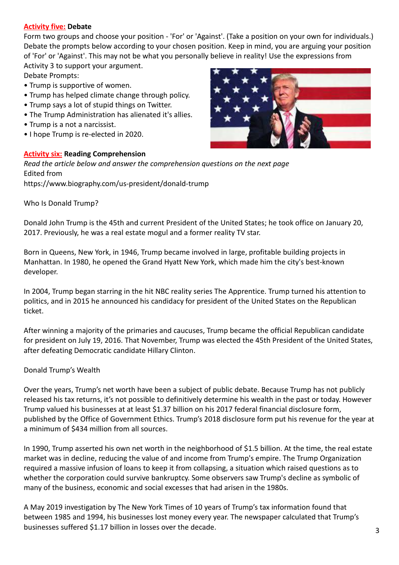#### **Activity five: Debate**

Form two groups and choose your position - 'For' or 'Against'. (Take a position on your own for individuals.) Debate the prompts below according to your chosen position. Keep in mind, you are arguing your position of 'For' or 'Against'. This may not be what you personally believe in reality! Use the expressions from Activity 3 to support your argument.

Debate Prompts:

- Trump is supportive of women.
- Trump has helped climate change through policy.
- Trump says a lot of stupid things on Twitter.
- The Trump Administration has alienated it's allies.
- Trump is a not a narcissist.
- I hope Trump is re-elected in 2020.

#### **Activity six: Reading Comprehension**

*Read the article below and answer the comprehension questions on the next page* Edited from

<https://www.biography.com/us-president/donald-trump>

Who Is Donald Trump?

Donald John Trump is the 45th and current President of the United States; he took office on January 20, 2017. Previously, he was a real estate mogul and a former reality TV star.

Born in Queens, New York, in 1946, Trump became involved in large, profitable building projects in Manhattan. In 1980, he opened the Grand Hyatt New York, which made him the city's best-known developer.

In 2004, Trump began starring in the hit NBC reality series The Apprentice. Trump turned his attention to politics, and in 2015 he announced his candidacy for president of the United States on the Republican ticket.

After winning a majority of the primaries and caucuses, Trump became the official Republican candidate for president on July 19, 2016. That November, Trump was elected the 45th President of the United States, after defeating Democratic candidate Hillary Clinton.

Donald Trump's Wealth

Over the years, Trump's net worth have been a subject of public debate. Because Trump has not publicly released his tax returns, it's not possible to definitively determine his wealth in the past or today. However Trump valued his businesses at at least \$1.37 billion on his 2017 federal financial disclosure form, published by the Office of Government Ethics. Trump's 2018 disclosure form put his revenue for the year at a minimum of \$434 million from all sources.

In 1990, Trump asserted his own net worth in the neighborhood of \$1.5 billion. At the time, the real estate market was in decline, reducing the value of and income from Trump's empire. The Trump Organization required a massive infusion of loans to keep it from collapsing, a situation which raised questions as to whether the corporation could survive bankruptcy. Some observers saw Trump's decline as symbolic of many of the business, economic and social excesses that had arisen in the 1980s.

A May 2019 investigation by The New York Times of 10 years of Trump's tax information found that between 1985 and 1994, his businesses lost money every year. The newspaper calculated that Trump's businesses suffered \$1.17 billion in losses over the decade. 3